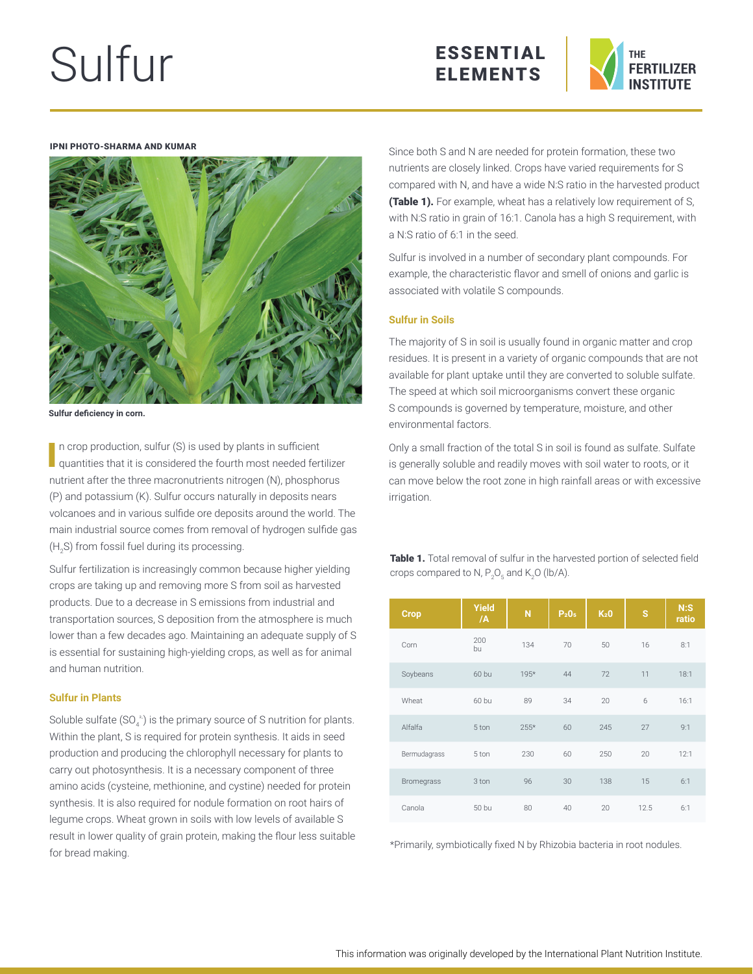# Sulfur





#### IPNI PHOTO-SHARMA AND KUMAR



**Sulfur deficiency in corn.**

In crop production, sulfur (S) is used by plants in sufficient quantities that it is considered the fourth most needed fertilizer nutrient after the three macronutrients nitrogen (N), phosphorus (P) and potassium (K). Sulfur occurs naturally in deposits nears volcanoes and in various sulfide ore deposits around the world. The main industrial source comes from removal of hydrogen sulfide gas (H<sub>2</sub>S) from fossil fuel during its processing.

Sulfur fertilization is increasingly common because higher yielding crops are taking up and removing more S from soil as harvested products. Due to a decrease in S emissions from industrial and transportation sources, S deposition from the atmosphere is much lower than a few decades ago. Maintaining an adequate supply of S is essential for sustaining high-yielding crops, as well as for animal and human nutrition.

## **Sulfur in Plants**

Soluble sulfate (SO $_4^2$ ) is the primary source of S nutrition for plants. Within the plant, S is required for protein synthesis. It aids in seed production and producing the chlorophyll necessary for plants to carry out photosynthesis. It is a necessary component of three amino acids (cysteine, methionine, and cystine) needed for protein synthesis. It is also required for nodule formation on root hairs of legume crops. Wheat grown in soils with low levels of available S result in lower quality of grain protein, making the flour less suitable for bread making.

Since both S and N are needed for protein formation, these two nutrients are closely linked. Crops have varied requirements for S compared with N, and have a wide N:S ratio in the harvested product **(Table 1).** For example, wheat has a relatively low requirement of S, with N:S ratio in grain of 16:1. Canola has a high S requirement, with a N:S ratio of 6:1 in the seed.

Sulfur is involved in a number of secondary plant compounds. For example, the characteristic flavor and smell of onions and garlic is associated with volatile S compounds.

# **Sulfur in Soils**

The majority of S in soil is usually found in organic matter and crop residues. It is present in a variety of organic compounds that are not available for plant uptake until they are converted to soluble sulfate. The speed at which soil microorganisms convert these organic S compounds is governed by temperature, moisture, and other environmental factors.

Only a small fraction of the total S in soil is found as sulfate. Sulfate is generally soluble and readily moves with soil water to roots, or it can move below the root zone in high rainfall areas or with excessive irrigation.

Table 1. Total removal of sulfur in the harvested portion of selected field crops compared to N,  $\mathsf{P}_2\mathsf{O}_5$  and K<sub>2</sub>O (lb/A).

| <b>Crop</b>       | Yield<br>/A | N      | P <sub>2</sub> 0 <sub>5</sub> | K <sub>2</sub> 0 | S    | N:<br>ratio |
|-------------------|-------------|--------|-------------------------------|------------------|------|-------------|
| Corn              | 200<br>bu   | 134    | 70                            | 50               | 16   | 8:1         |
| Soybeans          | 60 bu       | 195*   | 44                            | 72               | 11   | 18:1        |
| Wheat             | 60 bu       | 89     | 34                            | 20               | 6    | 16:1        |
| Alfalfa           | 5 ton       | $255*$ | 60                            | 245              | 27   | 9:1         |
| Bermudagrass      | 5 ton       | 230    | 60                            | 250              | 20   | 12:1        |
| <b>Bromegrass</b> | 3 ton       | 96     | 30                            | 138              | 15   | 6:1         |
| Canola            | 50 bu       | 80     | 40                            | 20               | 12.5 | 6:1         |

\*Primarily, symbiotically fixed N by Rhizobia bacteria in root nodules.